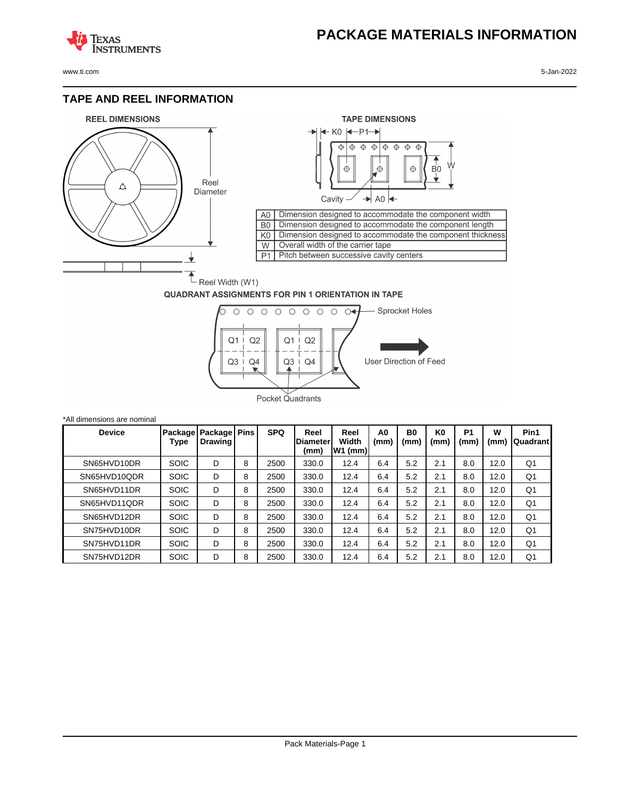## **PACKAGE MATERIALS INFORMATION**

**TEXAS NSTRUMENTS** 

www.ti.com 5-Jan-2022

#### **TAPE AND REEL INFORMATION**





#### **QUADRANT ASSIGNMENTS FOR PIN 1 ORIENTATION IN TAPE**



| *All dimensions are nominal |                 |                                |   |            |                          |                            |            |                        |                        |                        |           |                  |
|-----------------------------|-----------------|--------------------------------|---|------------|--------------------------|----------------------------|------------|------------------------|------------------------|------------------------|-----------|------------------|
| <b>Device</b>               | Package<br>Type | Package Pins<br><b>Drawing</b> |   | <b>SPQ</b> | Reel<br>Diameter<br>(mm) | Reel<br>Width<br>$W1$ (mm) | A0<br>(mm) | B <sub>0</sub><br>(mm) | K <sub>0</sub><br>(mm) | P <sub>1</sub><br>(mm) | W<br>(mm) | Pin1<br>Quadrant |
| SN65HVD10DR                 | <b>SOIC</b>     | D                              | 8 | 2500       | 330.0                    | 12.4                       | 6.4        | 5.2                    | 2.1                    | 8.0                    | 12.0      | Q1               |
| SN65HVD10QDR                | <b>SOIC</b>     | D                              | 8 | 2500       | 330.0                    | 12.4                       | 6.4        | 5.2                    | 2.1                    | 8.0                    | 12.0      | Q1               |
| SN65HVD11DR                 | <b>SOIC</b>     | D                              | 8 | 2500       | 330.0                    | 12.4                       | 6.4        | 5.2                    | 2.1                    | 8.0                    | 12.0      | Q1               |
| SN65HVD11ODR                | <b>SOIC</b>     | D                              | 8 | 2500       | 330.0                    | 12.4                       | 6.4        | 5.2                    | 2.1                    | 8.0                    | 12.0      | Q1               |
| SN65HVD12DR                 | <b>SOIC</b>     | D                              | 8 | 2500       | 330.0                    | 12.4                       | 6.4        | 5.2                    | 2.1                    | 8.0                    | 12.0      | Q <sub>1</sub>   |
| SN75HVD10DR                 | <b>SOIC</b>     | D                              | 8 | 2500       | 330.0                    | 12.4                       | 6.4        | 5.2                    | 2.1                    | 8.0                    | 12.0      | Q1               |
| SN75HVD11DR                 | <b>SOIC</b>     | D                              | 8 | 2500       | 330.0                    | 12.4                       | 6.4        | 5.2                    | 2.1                    | 8.0                    | 12.0      | Q1               |
| SN75HVD12DR                 | <b>SOIC</b>     | D                              | 8 | 2500       | 330.0                    | 12.4                       | 6.4        | 5.2                    | 2.1                    | 8.0                    | 12.0      | Q1               |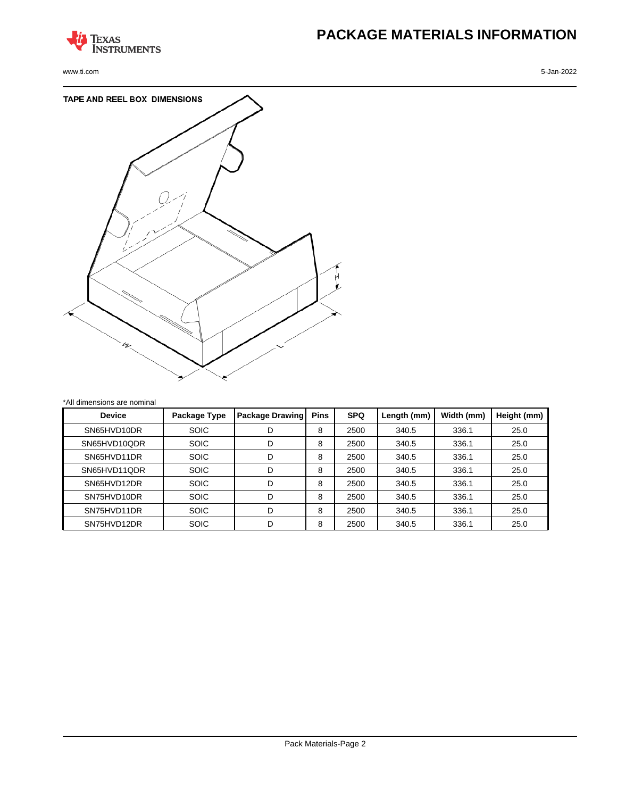

www.ti.com 5-Jan-2022

# **PACKAGE MATERIALS INFORMATION**



| <b>Device</b> | Package Type | <b>Package Drawing</b> | <b>Pins</b> | <b>SPQ</b> | Length (mm) | Width (mm) | Height (mm) |
|---------------|--------------|------------------------|-------------|------------|-------------|------------|-------------|
| SN65HVD10DR   | <b>SOIC</b>  | D                      | 8           | 2500       | 340.5       | 336.1      | 25.0        |
| SN65HVD10QDR  | <b>SOIC</b>  | D                      | 8           | 2500       | 340.5       | 336.1      | 25.0        |
| SN65HVD11DR   | <b>SOIC</b>  | D                      | 8           | 2500       | 340.5       | 336.1      | 25.0        |
| SN65HVD11QDR  | <b>SOIC</b>  | D                      | 8           | 2500       | 340.5       | 336.1      | 25.0        |
| SN65HVD12DR   | <b>SOIC</b>  | D                      | 8           | 2500       | 340.5       | 336.1      | 25.0        |
| SN75HVD10DR   | <b>SOIC</b>  | D                      | 8           | 2500       | 340.5       | 336.1      | 25.0        |
| SN75HVD11DR   | <b>SOIC</b>  | D                      | 8           | 2500       | 340.5       | 336.1      | 25.0        |
| SN75HVD12DR   | <b>SOIC</b>  | D                      | 8           | 2500       | 340.5       | 336.1      | 25.0        |